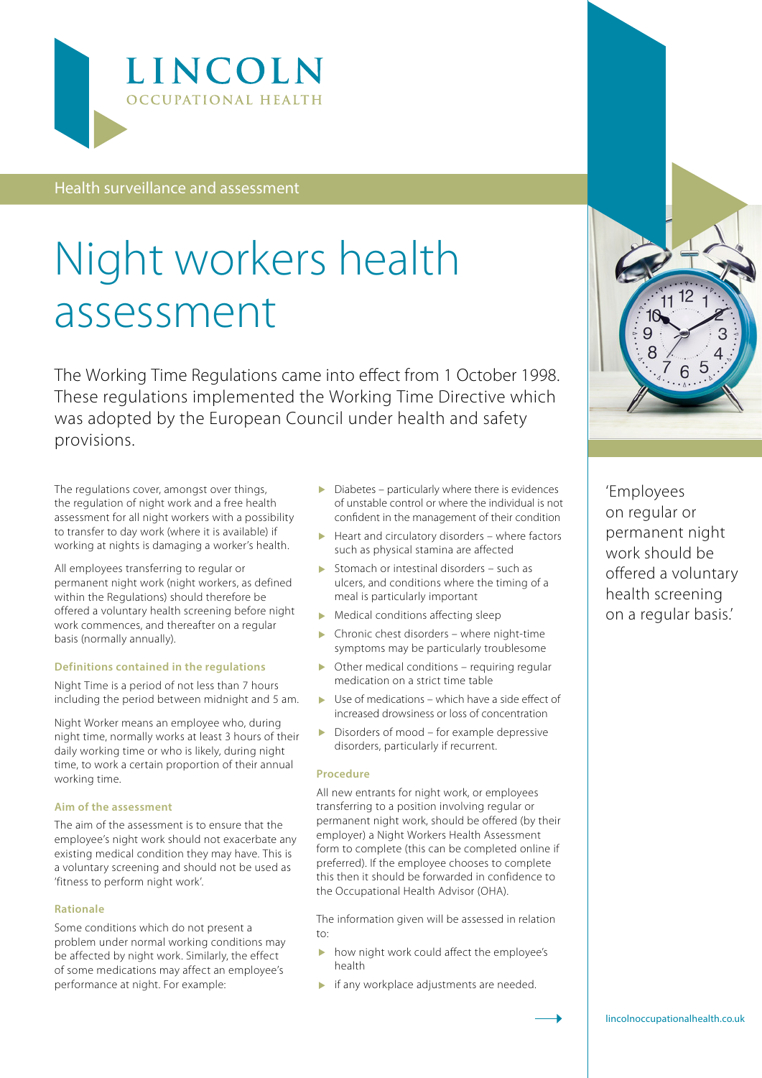

Health surveillance and assessment

# Night workers health assessment

The Working Time Regulations came into effect from 1 October 1998. These regulations implemented the Working Time Directive which was adopted by the European Council under health and safety provisions.

The regulations cover, amongst over things, the regulation of night work and a free health assessment for all night workers with a possibility to transfer to day work (where it is available) if working at nights is damaging a worker's health.

All employees transferring to regular or permanent night work (night workers, as defined within the Regulations) should therefore be offered a voluntary health screening before night work commences, and thereafter on a regular basis (normally annually).

## **Definitions contained in the regulations**

Night Time is a period of not less than 7 hours including the period between midnight and 5 am.

Night Worker means an employee who, during night time, normally works at least 3 hours of their daily working time or who is likely, during night time, to work a certain proportion of their annual working time.

#### **Aim of the assessment**

The aim of the assessment is to ensure that the employee's night work should not exacerbate any existing medical condition they may have. This is a voluntary screening and should not be used as 'fitness to perform night work'.

#### **Rationale**

Some conditions which do not present a problem under normal working conditions may be affected by night work. Similarly, the effect of some medications may affect an employee's performance at night. For example:

- Diabetes particularly where there is evidences of unstable control or where the individual is not confident in the management of their condition
- $\blacktriangleright$  Heart and circulatory disorders where factors such as physical stamina are affected
- Stomach or intestinal disorders such as ulcers, and conditions where the timing of a meal is particularly important
- $\blacktriangleright$  Medical conditions affecting sleep
- Chronic chest disorders where night-time symptoms may be particularly troublesome
- $\triangleright$  Other medical conditions requiring regular medication on a strict time table
- $\blacktriangleright$  Use of medications which have a side effect of increased drowsiness or loss of concentration
- Disorders of mood for example depressive disorders, particularly if recurrent.

## **Procedure**

All new entrants for night work, or employees transferring to a position involving regular or permanent night work, should be offered (by their employer) a Night Workers Health Assessment form to complete (this can be completed online if preferred). If the employee chooses to complete this then it should be forwarded in confidence to the Occupational Health Advisor (OHA).

The information given will be assessed in relation to:

- $\blacktriangleright$  how night work could affect the employee's health
- **if any workplace adjustments are needed.**



'Employees on regular or permanent night work should be offered a voluntary health screening on a regular basis.'